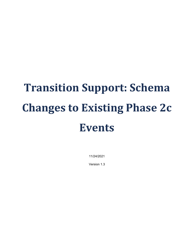# **Transition Support: Schema Changes to Existing Phase 2c Events**

11/24/2021

Version 1.3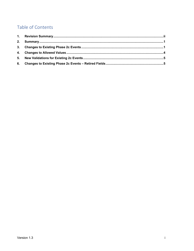# Table of Contents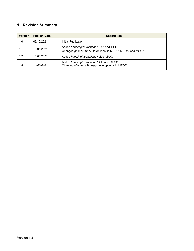# <span id="page-2-0"></span>**1. Revision Summary**

| <b>Version</b> | <b>Publish Date</b> | <b>Description</b>                                                                                          |
|----------------|---------------------|-------------------------------------------------------------------------------------------------------------|
| 1.0            | 108/16/2021         | Initial Publication                                                                                         |
| 1.1            | 10/01/2021          | Added handling Instructions 'ERP' and 'PCS'.<br>Changed paired OrderID to optional in MEOR, MEOA, and MOOA. |
| 1.2            | 10/08/2021          | Added handling Instructions value 'MAX'.                                                                    |
| 1.3            | 11/24/2021          | Added handling Instructions 'SLL' and 'ALGS'.<br>Changed electronic Timestamp to optional in MEOT.          |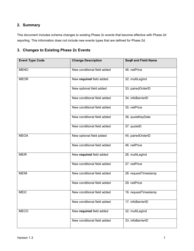# <span id="page-3-0"></span>**2. Summary**

This document includes schema changes to existing Phase 2c events that become effective with Phase 2d reporting. This information does not include new events types that are defined for Phase 2d.

#### <span id="page-3-1"></span>**3. Changes to Existing Phase 2c Events**

| <b>Event Type Code</b> | <b>Change Description</b>   | Seq# and Field Name  |
|------------------------|-----------------------------|----------------------|
| <b>MENO</b>            | New conditional field added | 46. netPrice         |
| <b>MEOR</b>            | New required field added    | 32. multiLegInd      |
|                        | New optional field added    | 33. pairedOrderID    |
|                        | New conditional field added | 34. infoBarrierID    |
|                        | New conditional field added | 35. netPrice         |
|                        | New conditional field added | 36. quoteKeyDate     |
|                        | New conditional field added | 37. quotelD          |
| <b>MEOA</b>            | New optional field added    | 45. pairedOrderID    |
|                        | New conditional field added | 46. netPrice         |
| <b>MEIR</b>            | New required field added    | 26. multiLegInd      |
|                        | New conditional field added | 27. netPrice         |
| <b>MEIM</b>            | New conditional field added | 28. requestTimestamp |
|                        | New conditional field added | 29. netPrice         |
| <b>MEIC</b>            | New conditional field added | 16. requestTimestamp |
|                        | New conditional field added | 17. infoBarrierID    |
| <b>MECO</b>            | New required field added    | 32. multiLegInd      |
|                        | New conditional field added | 33. infoBarrierID    |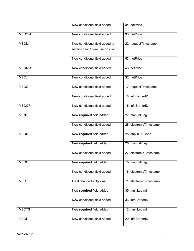|              | New conditional field added      | 34. netPrice            |
|--------------|----------------------------------|-------------------------|
| <b>MECOM</b> | New conditional field added      | 33. netPrice            |
| <b>MEOM</b>  | New conditional field added to   | 22. requestTimestamp    |
|              | reserved for future use position |                         |
|              | New conditional field added      | 53. netPrice            |
| <b>MEOMR</b> | New conditional field added      | 43. netPrice            |
| <b>MEOJ</b>  | New conditional field added      | 32. netPrice            |
| <b>MEOC</b>  | New conditional field added      | 17. requestTimestamp    |
|              | New conditional field added      | 18. infoBarrierID       |
| <b>MEOCR</b> | New conditional field added      | 15. infoBarrierID       |
| <b>MENQ</b>  | New required field added         | 27. manualFlag          |
|              | New conditional field added      | 28. electronicTimestamp |
| <b>MEQR</b>  | New required field added         | 25. dupROIDCond         |
|              | New required field added         | 26. manualFlag          |
|              | New conditional field added      | 27. electronicTimestamp |
| <b>MEQC</b>  | New required field added         | 15. manualFlag          |
|              | New conditional field added      | 16. electronicTimestamp |
| <b>MEOT</b>  | Field change to Optional         | 11. electronicTimestamp |
|              | New required field added         | 35. multiLegInd         |
|              | New conditional field added      | 36. infoBarrierID       |
| <b>MEOTS</b> | New required field added         | 12. multiLegInd         |
| <b>MEOF</b>  | New conditional field added      | 20. infoBarrierID       |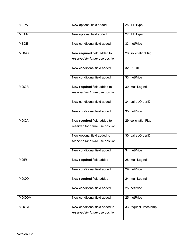| <b>MEPA</b>  | New optional field added                                           | 25. TIDType          |
|--------------|--------------------------------------------------------------------|----------------------|
| <b>MEAA</b>  | New optional field added                                           | 27. TIDType          |
| <b>MEOE</b>  | New conditional field added                                        | 33. netPrice         |
| <b>MONO</b>  | New required field added to<br>reserved for future use position    | 28. solicitationFlag |
|              | New conditional field added                                        | 32. RFQID            |
|              | New conditional field added                                        | 33. netPrice         |
| <b>MOOR</b>  | New required field added to<br>reserved for future use position    | 30. multiLegInd      |
|              | New conditional field added                                        | 34. pairedOrderID    |
|              | New conditional field added                                        | 35. netPrice         |
| <b>MOOA</b>  | New required field added to<br>reserved for future use position    | 29. solicitationFlag |
|              | New optional field added to<br>reserved for future use position    | 30. pairedOrderID    |
|              | New conditional field added                                        | 34. netPrice         |
| <b>MOIR</b>  | New required field added                                           | 28. multiLegInd      |
|              | New conditional field added                                        | 29. netPrice         |
| <b>MOCO</b>  | New required field added                                           | 24. multiLegInd      |
|              | New conditional field added                                        | 25. netPrice         |
| <b>MOCOM</b> | New conditional field added                                        | 25. netPrice         |
| <b>MOOM</b>  | New conditional field added to<br>reserved for future use position | 33. requestTimestamp |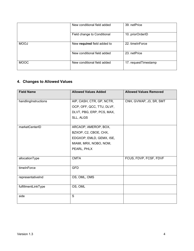|             | New conditional field added | 39. netPrice         |
|-------------|-----------------------------|----------------------|
|             | Field change to Conditional | 10. priorOrderID     |
| <b>MOOJ</b> | New required field added to | 22. timeInForce      |
|             | New conditional field added | 23. netPrice         |
| <b>MOOC</b> | New conditional field added | 17. requestTimestamp |

# <span id="page-6-0"></span>**4. Changes to Allowed Values**

| <b>Field Name</b>    | <b>Allowed Values Added</b> | <b>Allowed Values Removed</b> |
|----------------------|-----------------------------|-------------------------------|
| handlingInstructions | AIP, CASH, CTR, GP, NCTR,   | CNH, GVWAP, J3, SR, SMT       |
|                      | OCP, OFF, QCC, TTU, DLVF,   |                               |
|                      | DLVT, PBG, ERP, PCS, MAX,   |                               |
|                      | SLL, ALGS                   |                               |
|                      |                             |                               |
| marketCenterID       | ARCAOP, AMEROP, BOX,        |                               |
|                      | BZXOP, C2, CBOE, CHX,       |                               |
|                      | EDGXOP, EMLD, GEMX, ISE,    |                               |
|                      | MIAMI, MRX, NOBO, NOM,      |                               |
|                      | PEARL, PHLX                 |                               |
|                      |                             |                               |
| allocationType       | <b>CMTA</b>                 | FCUS, FDVP, FCSF, FDVF        |
| timeInForce          | <b>GFD</b>                  |                               |
| representativeInd    | OS, OML, OMS                |                               |
|                      |                             |                               |
| fulfillmentLinkType  | OS, OML                     |                               |
| side                 | S                           |                               |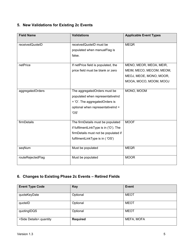# <span id="page-7-0"></span>**5. New Validations for Existing 2c Events**

| <b>Field Name</b> | <b>Validations</b>                     | <b>Applicable Event Types</b> |
|-------------------|----------------------------------------|-------------------------------|
| receivedQuoteID   | receivedQuoteID must be                | <b>MEQR</b>                   |
|                   | populated when manualFlag is           |                               |
|                   | false.                                 |                               |
| netPrice          | If netPrice field is populated, the    | MENO, MEOR, MEOA, MEIR,       |
|                   | price field must be blank or zero      | MEIM, MECO, MECOM, MEOM,      |
|                   |                                        | MEOJ, MEOE, MONO, MOOR,       |
|                   |                                        | MOOA, MOCO, MOOM, MOOJ        |
| aggregatedOrders  | The aggregatedOrders must be           | MONO, MOOM                    |
|                   | populated when representativelnd       |                               |
|                   | = 'O'. The aggregatedOrders is         |                               |
|                   | optional when representativelnd =      |                               |
|                   | 'OS'                                   |                               |
|                   |                                        |                               |
| firmDetails       | The firmDetails must be populated      | <b>MOOF</b>                   |
|                   | if fulfilmentLinkType is in ('O'). The |                               |
|                   | firmDetails must not be populated if   |                               |
|                   | fulfilmentLinkType is in ('OS')        |                               |
| seqNum            | Must be populated                      | <b>MEQR</b>                   |
| routeRejectedFlag | Must be populated                      | <b>MOOR</b>                   |

# <span id="page-7-1"></span>**6. Changes to Existing Phase 2c Events – Retired Fields**

| <b>Event Type Code</b>            | <b>Key</b>      | Event       |
|-----------------------------------|-----------------|-------------|
| quoteKeyDate                      | Optional        | <b>MEOT</b> |
| quotelD                           | Optional        | <b>MEOT</b> |
| quotingIDQS                       | Optional        | <b>MEOT</b> |
| <side details="">.quantity</side> | <b>Required</b> | MEFA, MOFA  |